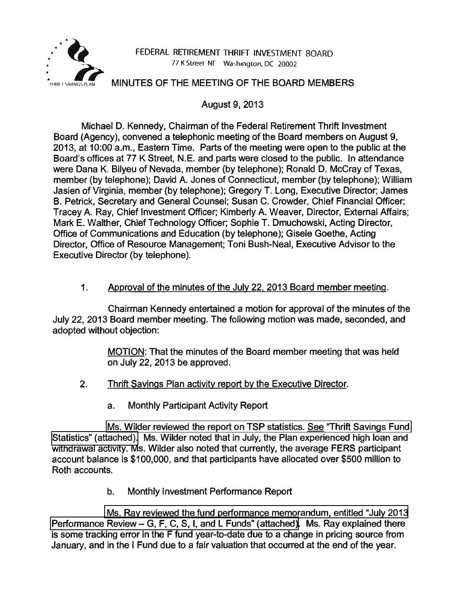

## FEDERAL RETIREMENT THRIFT INVESTMENT BOARD 77 K Street, NF Washington, DC 20002

## MINUTES OF THE MEETING OF THE BOARD MEMBERS

August 9, 2013

Michael D. Kennedy, Chairman of the Federal Retirement Thrift Investment Board (Agency), convened a telephonic meeting of the Board members on August 9, 2013, at 10:00 a.m., Eastern Time. Parts of the meeting were open to the public at the Board's offices at 77 K Street, N.E. and parts were closed to the public. In attendance were Dana K. Bilyeu of Nevada, member (by telephone); Ronald D. McCray of Texas, member (by telephone); David A. Jones of Connecticut, member (by telephone); William Jasien of Virginia, member (by telephone); Gregory T. Long, Executive Director; James B. Petrick, Secretary and General Counsel; Susan C. Crowder, Chief Financial Officer; Tracey A. Ray, Chief Investment Officer; Kimberly A. Weaver, Director, External Affairs; Mark E. Walther, Chief Technology Officer; Sophie T. Dmuchowski, Acting Director, Office of Communications and Education (by telephone); Gisele Goethe, Acting Director, Office of Resource Management; Toni Bush-Neal, Executive Advisor to the Executive Director (by telephone).

1. Approval of the minutes of the July 22. 2013 Board member meeting.

Chairman Kennedy entertained a motion for approval of the minutes of the July 22, 2013 Board member meeting. The following motion was made, seconded, and adopted without objection:

> MOTION: That the minutes of the Board member meeting that was held on July 22, 2013 be approved.

- 2. Thrift Savings Plan activity report by the Executive Director.
	- a. Monthly Participant Activity Report

[Ms. Wilder reviewed the report on TSP statistics. See "Thrift Savings Fund](http://www.frtib.gov/pdf/minutes/MM-2013Aug-Att1.pdf)  [Statistics" \(attached\).](http://www.frtib.gov/pdf/minutes/MM-2013Aug-Att1.pdf) Ms. Wilder noted that in July, the Plan experienced high loan and withdrawal activity. Ms. Wilder also noted that currently, the average FERS participant account balance is \$100,000, and that participants have allocated over \$500 million to Roth accounts.

b. Monthly Investment Performance Report

[Ms. Ray reviewed the fund performance memorandum, entitled "July 2013](http://www.frtib.gov/pdf/minutes/MM-2013Aug-Att2.pdf) Performance Review - [G, F, C, S, I, and L Funds" \(attached\).](http://www.frtib.gov/pdf/minutes/MM-2013Aug-Att2.pdf) Ms. Ray explained there is some tracking error in the F fund year-to-date due to a change in pricing source from January, and in the I Fund due to a fair valuation that occurred at the end of the year.